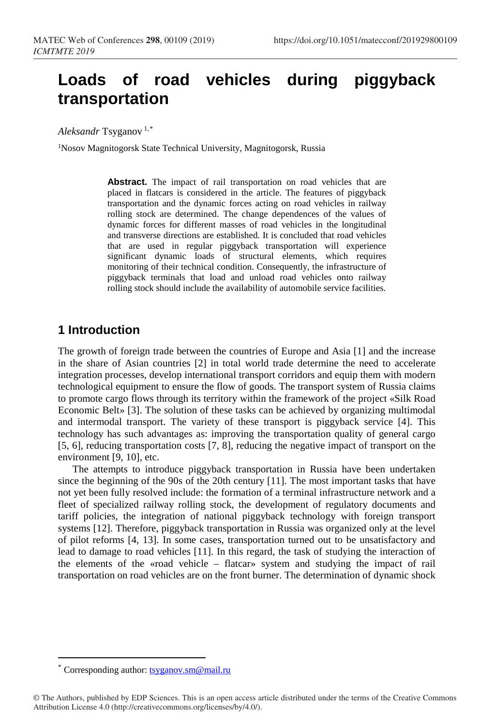# **Loads of road vehicles during piggyback transportation**

*Aleksandr* Tsyganov 1,\*

1Nosov Magnitogorsk State Technical University, Magnitogorsk, Russia

**Abstract.** The impact of rail transportation on road vehicles that are placed in f[la](#page-0-0)tcars is considered in the article. The features of piggyback transportation and the dynamic forces acting on road vehicles in railway rolling stock are determined. The change dependences of the values of dynamic forces for different masses of road vehicles in the longitudinal and transverse directions are established. It is concluded that road vehicles that are used in regular piggyback transportation will experience significant dynamic loads of structural elements, which requires monitoring of their technical condition. Consequently, the infrastructure of piggyback terminals that load and unload road vehicles onto railway rolling stock should include the availability of automobile service facilities.

#### **1 Introduction**

The growth of foreign trade between the countries of Europe and Asia [1] and the increase in the share of Asian countries [2] in total world trade determine the need to accelerate integration processes, develop international transport corridors and equip them with modern technological equipment to ensure the flow of goods. The transport system of Russia claims to promote cargo flows through its territory within the framework of the project «Silk Road Economic Belt» [3]. The solution of these tasks can be achieved by organizing multimodal and intermodal transport. The variety of these transport is piggyback service [4]. This technology has such advantages as: improving the transportation quality of general cargo [5, 6], reducing transportation costs [7, 8], reducing the negative impact of transport on the environment [9, 10], etc.

The attempts to introduce piggyback transportation in Russia have been undertaken since the beginning of the 90s of the 20th century [11]. The most important tasks that have not yet been fully resolved include: the formation of a terminal infrastructure network and a fleet of specialized railway rolling stock, the development of regulatory documents and tariff policies, the integration of national piggyback technology with foreign transport systems [12]. Therefore, piggyback transportation in Russia was organized only at the level of pilot reforms [4, 13]. In some cases, transportation turned out to be unsatisfactory and lead to damage to road vehicles [11]. In this regard, the task of studying the interaction of the elements of the «road vehicle – flatcar» system and studying the impact of rail transportation on road vehicles are on the front burner. The determination of dynamic shock

 $\overline{a}$ 

Corresponding author: tsyganov.sm@mail.ru

<span id="page-0-0"></span><sup>©</sup> The Authors, published by EDP Sciences. This is an open access article distributed under the terms of the Creative Commons Attribution License 4.0 (http://creativecommons.org/licenses/by/4.0/).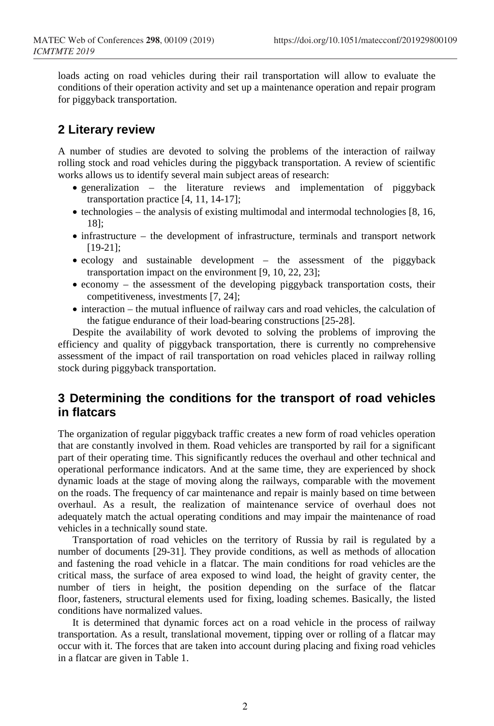loads acting on road vehicles during their rail transportation will allow to evaluate the conditions of their operation activity and set up a maintenance operation and repair program for piggyback transportation.

#### **2 Literary review**

A number of studies are devoted to solving the problems of the interaction of railway rolling stock and road vehicles during the piggyback transportation. A review of scientific works allows us to identify several main subject areas of research:

- generalization the literature reviews and implementation of piggyback transportation practice [4, 11, 14-17];
- technologies the analysis of existing multimodal and intermodal technologies [8, 16, 18];
- infrastructure the development of infrastructure, terminals and transport network [19-21];
- ecology and sustainable development the assessment of the piggyback transportation impact on the environment [9, 10, 22, 23];
- economy the assessment of the developing piggyback transportation costs, their competitiveness, investments [7, 24];
- interaction the mutual influence of railway cars and road vehicles, the calculation of the fatigue endurance of their load-bearing constructions [25-28].

Despite the availability of work devoted to solving the problems of improving the efficiency and quality of piggyback transportation, there is currently no comprehensive assessment of the impact of rail transportation on road vehicles placed in railway rolling stock during piggyback transportation.

### **3 Determining the conditions for the transport of road vehicles in flatcars**

The organization of regular piggyback traffic creates a new form of road vehicles operation that are constantly involved in them. Road vehicles are transported by rail for a significant part of their operating time. This significantly reduces the overhaul and other technical and operational performance indicators. And at the same time, they are experienced by shock dynamic loads at the stage of moving along the railways, comparable with the movement on the roads. The frequency of car maintenance and repair is mainly based on time between overhaul. As a result, the realization of maintenance service of overhaul does not adequately match the actual operating conditions and may impair the maintenance of road vehicles in a technically sound state.

Transportation of road vehicles on the territory of Russia by rail is regulated by a number of documents [29-31]. They provide conditions, as well as methods of allocation and fastening the road vehicle in a flatcar. The main conditions for road vehicles are the critical mass, the surface of area exposed to wind load, the height of gravity center, the number of tiers in height, the position depending on the surface of the flatcar floor, fasteners, structural elements used for fixing, loading schemes. Basically, the listed conditions have normalized values.

It is determined that dynamic forces act on a road vehicle in the process of railway transportation. As a result, translational movement, tipping over or rolling of a flatcar may occur with it. The forces that are taken into account during placing and fixing road vehicles in a flatcar are given in Table 1.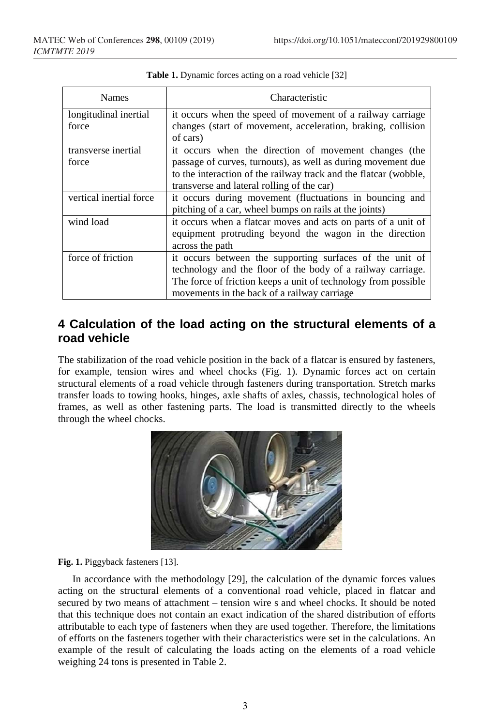| <b>Names</b>                   | Characteristic                                                                                                                                                                                                                           |
|--------------------------------|------------------------------------------------------------------------------------------------------------------------------------------------------------------------------------------------------------------------------------------|
| longitudinal inertial<br>force | it occurs when the speed of movement of a railway carriage<br>changes (start of movement, acceleration, braking, collision<br>of cars)                                                                                                   |
| transverse inertial<br>force   | it occurs when the direction of movement changes (the<br>passage of curves, turnouts), as well as during movement due<br>to the interaction of the railway track and the flatcar (wobble,<br>transverse and lateral rolling of the car)  |
| vertical inertial force        | it occurs during movement (fluctuations in bouncing and<br>pitching of a car, wheel bumps on rails at the joints)                                                                                                                        |
| wind load                      | it occurs when a flatcar moves and acts on parts of a unit of<br>equipment protruding beyond the wagon in the direction<br>across the path                                                                                               |
| force of friction              | it occurs between the supporting surfaces of the unit of<br>technology and the floor of the body of a railway carriage.<br>The force of friction keeps a unit of technology from possible<br>movements in the back of a railway carriage |

|  |  | <b>Table 1.</b> Dynamic forces acting on a road vehicle [32] |
|--|--|--------------------------------------------------------------|
|--|--|--------------------------------------------------------------|

## **4 Calculation of the load acting on the structural elements of a road vehicle**

The stabilization of the road vehicle position in the back of a flatcar is ensured by fasteners, for example, tension wires and wheel chocks (Fig. 1). Dynamic forces act on certain structural elements of a road vehicle through fasteners during transportation. Stretch marks transfer loads to towing hooks, hinges, axle shafts of axles, chassis, technological holes of frames, as well as other fastening parts. The load is transmitted directly to the wheels through the wheel chocks.



#### **Fig. 1.** Piggyback fasteners [13].

In accordance with the methodology [29], the calculation of the dynamic forces values acting on the structural elements of a conventional road vehicle, placed in flatcar and secured by two means of attachment – tension wire s and wheel chocks. It should be noted that this technique does not contain an exact indication of the shared distribution of efforts attributable to each type of fasteners when they are used together. Therefore, the limitations of efforts on the fasteners together with their characteristics were set in the calculations. An example of the result of calculating the loads acting on the elements of a road vehicle weighing 24 tons is presented in Table 2.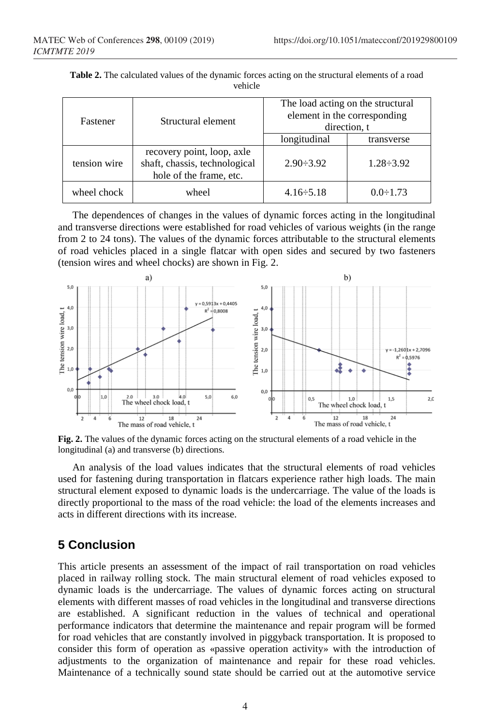| Fastener     | Structural element                                                                     | The load acting on the structural<br>element in the corresponding<br>direction, t |                  |
|--------------|----------------------------------------------------------------------------------------|-----------------------------------------------------------------------------------|------------------|
|              |                                                                                        | longitudinal                                                                      | transverse       |
| tension wire | recovery point, loop, axle<br>shaft, chassis, technological<br>hole of the frame, etc. | $2.90 \div 3.92$                                                                  | $1.28 \div 3.92$ |
| wheel chock  | wheel                                                                                  | $4.16 \div 5.18$                                                                  | $0.0 \div 1.73$  |

**Table 2.** The calculated values of the dynamic forces acting on the structural elements of a road vehicle

The dependences of changes in the values of dynamic forces acting in the longitudinal and transverse directions were established for road vehicles of various weights (in the range from 2 to 24 tons). The values of the dynamic forces attributable to the structural elements of road vehicles placed in a single flatcar with open sides and secured by two fasteners (tension wires and wheel chocks) are shown in Fig. 2.



**Fig. 2.** The values of the dynamic forces acting on the structural elements of a road vehicle in the longitudinal (a) and transverse (b) directions.

An analysis of the load values indicates that the structural elements of road vehicles used for fastening during transportation in flatcars experience rather high loads. The main structural element exposed to dynamic loads is the undercarriage. The value of the loads is directly proportional to the mass of the road vehicle: the load of the elements increases and acts in different directions with its increase.

# **5 Conclusion**

This article presents an assessment of the impact of rail transportation on road vehicles placed in railway rolling stock. The main structural element of road vehicles exposed to dynamic loads is the undercarriage. The values of dynamic forces acting on structural elements with different masses of road vehicles in the longitudinal and transverse directions are established. A significant reduction in the values of technical and operational performance indicators that determine the maintenance and repair program will be formed for road vehicles that are constantly involved in piggyback transportation. It is proposed to consider this form of operation as «passive operation activity» with the introduction of adjustments to the organization of maintenance and repair for these road vehicles. Maintenance of a technically sound state should be carried out at the automotive service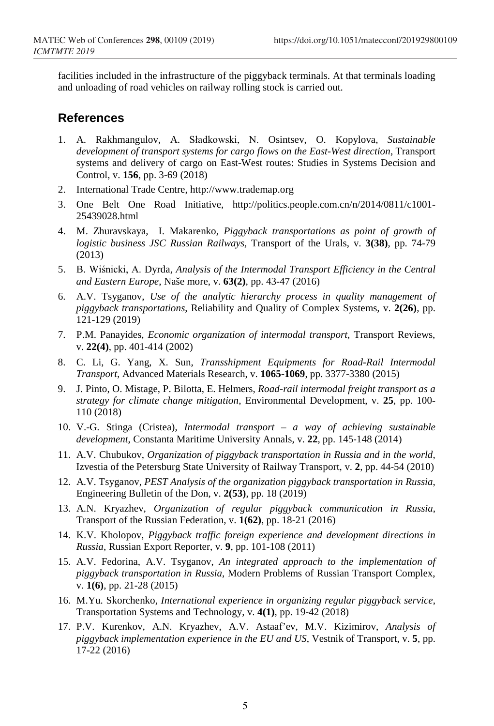facilities included in the infrastructure of the piggyback terminals. At that terminals loading and unloading of road vehicles on railway rolling stock is carried out.

#### **References**

- 1. A. Rakhmangulov, A. Sładkowski, N. Osintsev, O. Kopylova, *Sustainable development of transport systems for cargo flows on the East-West direction*, Transport systems and delivery of cargo on East-West routes: Studies in Systems Decision and Control, v. **156**, pp. 3-69 (2018)
- 2. International Trade Centre, http://www.trademap.org
- 3. One Belt One Road Initiative, http://politics.people.com.cn/n/2014/0811/c1001- 25439028.html
- 4. M. Zhuravskaya, I. Makarenko, *Piggyback transportations as point of growth of logistic business JSC Russian Railways*, Transport of the Urals, v. **3(38)**, pp. 74-79 (2013)
- 5. B. Wiśnicki, A. Dyrda, *Analysis of the Intermodal Transport Efficiency in the Central and Eastern Europe*, Naše more, v. **63(2)**, pp. 43-47 (2016)
- 6. A.V. Tsyganov, *Use of the analytic hierarchy process in quality management of piggyback transportations*, Reliability and Quality of Complex Systems, v. **2(26)**, pp. 121-129 (2019)
- 7. P.M. Panayides, *Economic organization of intermodal transport*, Transport Reviews, v. **22(4)**, pp. 401-414 (2002)
- 8. C. Li, G. Yang, X. Sun, *Transshipment Equipments for Road-Rail Intermodal Transport*, Advanced Materials Research, v. **1065-1069**, pp. 3377-3380 (2015)
- 9. J. Pinto, O. Mistage, P. Bilotta, E. Helmers, *Road-rail intermodal freight transport as a strategy for climate change mitigation*, Environmental Development, v. **25**, pp. 100- 110 (2018)
- 10. V.-G. Stinga (Cristea), *Intermodal transport – a way of achieving sustainable development*, Constanta Maritime University Annals, v. **22**, pp. 145-148 (2014)
- 11. A.V. Chubukov, *Organization of piggyback transportation in Russia and in the world*, Izvestia of the Petersburg State University of Railway Transport, v. **2**, pp. 44-54 (2010)
- 12. A.V. Tsyganov, *PEST Analysis of the organization piggyback transportation in Russia*, Engineering Bulletin of the Don, v. **2(53)**, pp. 18 (2019)
- 13. A.N. Kryazhev, *Organization of regular piggyback communication in Russia*, Transport of the Russian Federation, v. **1(62)**, pp. 18-21 (2016)
- 14. K.V. Kholopov, *Piggyback traffic foreign experience and development directions in Russia*, Russian Export Reporter, v. **9**, pp. 101-108 (2011)
- 15. A.V. Fedorina, A.V. Tsyganov, *An integrated approach to the implementation of piggyback transportation in Russia*, Modern Problems of Russian Transport Complex, v. **1(6)**, pp. 21-28 (2015)
- 16. M.Yu. Skorchenko, *International experience in organizing regular piggyback service*, Transportation Systems and Technology, v. **4(1)**, pp. 19-42 (2018)
- 17. P.V. Kurenkov, A.N. Kryazhev, A.V. Astaaf'ev, M.V. Kizimirov, *Analysis of piggyback implementation experience in the EU and US*, Vestnik of Transport, v. **5**, pp. 17-22 (2016)